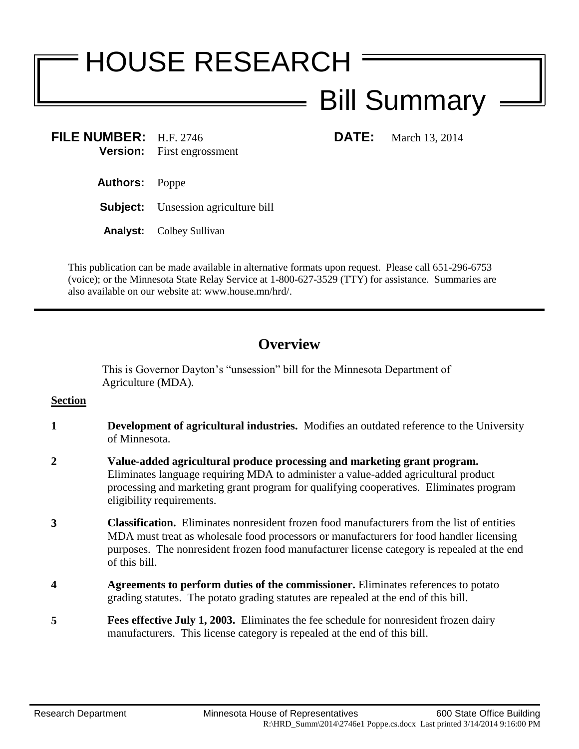# HOUSE RESEARCH

## Bill Summary

**FILE NUMBER:** H.F. 2746 **DATE:** March 13, 2014 **Version:** First engrossment

- **Authors:** Poppe
- **Subject:** Unsession agriculture bill
- **Analyst:** Colbey Sullivan

This publication can be made available in alternative formats upon request. Please call 651-296-6753 (voice); or the Minnesota State Relay Service at 1-800-627-3529 (TTY) for assistance. Summaries are also available on our website at: www.house.mn/hrd/.

### **Overview**

This is Governor Dayton's "unsession" bill for the Minnesota Department of Agriculture (MDA).

#### **Section**

- **1 Development of agricultural industries.** Modifies an outdated reference to the University of Minnesota.
- **2 Value-added agricultural produce processing and marketing grant program.**  Eliminates language requiring MDA to administer a value-added agricultural product processing and marketing grant program for qualifying cooperatives. Eliminates program eligibility requirements.
- **3 Classification.** Eliminates nonresident frozen food manufacturers from the list of entities MDA must treat as wholesale food processors or manufacturers for food handler licensing purposes. The nonresident frozen food manufacturer license category is repealed at the end of this bill.
- **4 Agreements to perform duties of the commissioner.** Eliminates references to potato grading statutes. The potato grading statutes are repealed at the end of this bill.
- **5 Fees effective July 1, 2003.** Eliminates the fee schedule for nonresident frozen dairy manufacturers. This license category is repealed at the end of this bill.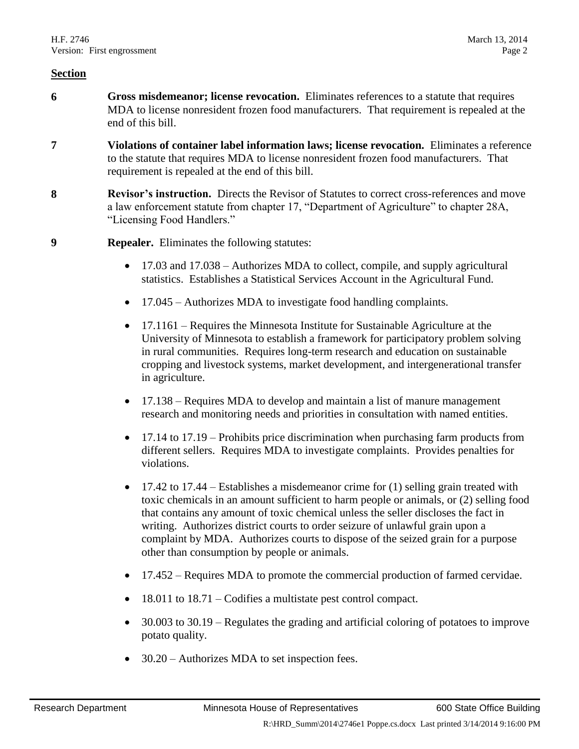#### **Section**

- **6 Gross misdemeanor; license revocation.** Eliminates references to a statute that requires MDA to license nonresident frozen food manufacturers. That requirement is repealed at the end of this bill.
- **7 Violations of container label information laws; license revocation.** Eliminates a reference to the statute that requires MDA to license nonresident frozen food manufacturers. That requirement is repealed at the end of this bill.
- **8 Revisor's instruction.** Directs the Revisor of Statutes to correct cross-references and move a law enforcement statute from chapter 17, "Department of Agriculture" to chapter 28A, "Licensing Food Handlers."
- **9 Repealer.** Eliminates the following statutes:
	- 17.03 and 17.038 Authorizes MDA to collect, compile, and supply agricultural statistics. Establishes a Statistical Services Account in the Agricultural Fund.
	- 17.045 Authorizes MDA to investigate food handling complaints.
	- 17.1161 Requires the Minnesota Institute for Sustainable Agriculture at the University of Minnesota to establish a framework for participatory problem solving in rural communities. Requires long-term research and education on sustainable cropping and livestock systems, market development, and intergenerational transfer in agriculture.
	- 17.138 Requires MDA to develop and maintain a list of manure management research and monitoring needs and priorities in consultation with named entities.
	- 17.14 to 17.19 Prohibits price discrimination when purchasing farm products from different sellers. Requires MDA to investigate complaints. Provides penalties for violations.
	- 17.42 to 17.44 Establishes a misdemeanor crime for (1) selling grain treated with toxic chemicals in an amount sufficient to harm people or animals, or (2) selling food that contains any amount of toxic chemical unless the seller discloses the fact in writing. Authorizes district courts to order seizure of unlawful grain upon a complaint by MDA. Authorizes courts to dispose of the seized grain for a purpose other than consumption by people or animals.
	- 17.452 Requires MDA to promote the commercial production of farmed cervidae.
	- 18.011 to 18.71 Codifies a multistate pest control compact.
	- 30.003 to 30.19 Regulates the grading and artificial coloring of potatoes to improve potato quality.
	- 30.20 Authorizes MDA to set inspection fees.